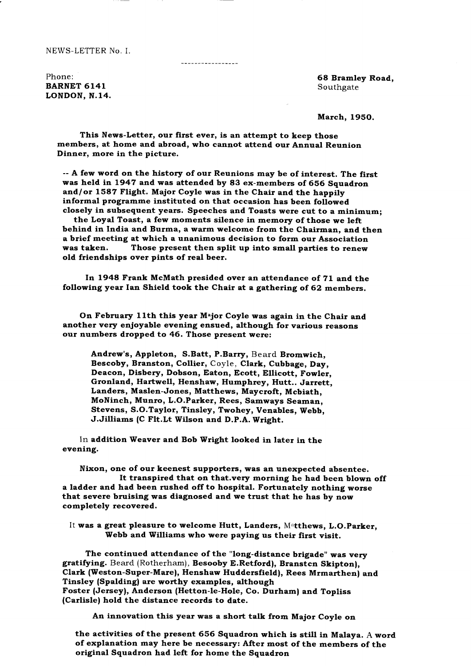NEWS-LETTER No. I.

-----------------

Phone: BARNET 614I LONDON, N.14.

68 Bramley Road, Southgate

March, 195O.

This News-Letter, our first ever, is an attempt to keep those members, at home and abroad, who cannot attend our Annual Reunion Dinner, more in the picture.

-- A few word on the history of our Reunions may be of interest. The first was held in 1947 and was attended by 83 ex-members of 656 Squadron and/or 1587 Flight. Major Coyle was in the Chair and the happily informal programme instituted on that occasion has been followed closely in subsequent years. Speeches and Toasts were cut to a minimum;

the Loyal Toast, a few moments silence in memory of those we left behind in India and Burma, a warm welcome from the Chairman, and then a brief meeting at which a unanimous decision to form our Association Those present then split up into small parties to renew old friendships over pints of real beer.

In 1948 Frank McMath presided over an attendance of 71 and the following year Ian Shield took the Chair at a gathering of 62 members.

On February 11th this year Major Coyle was again in the Chair and another very enjoyable evening ensued, although for various reasons our numbers dropped to 46. Those present were:

Andrew's, Appleton, S.Batt, P.Barry, Beard Bromwich, Bescoby, Branston, Collier, Coyle, Clark, Cubbage, Day, Deacon, Disbery, Dobson, Eaton, Ecott, Ellicott, Fowler, Gronland, Hartwell, Henshaw, Humphrey, Hutt.. Jarrett, Landers, Maslen-Jones, Matthews, Maycroft, Mcbiath, MoNinch, Munro, L.O.Parker, Rees, Samways Seaman, Stevens, S.O.Taylor, Tinsley, Twohey, Venables, Webb, J.Jilliams (C Flt.Lt Wilson and D.P.A. Wright.

In addition Weaver and Bob Wright looked in later in the evening.

Nixon, one of our keenest supporters, was an unexpected absentee. It transpired that on that.very morning he had been blown off a ladder and had been rushed off to hospital. Fortunately nothing worse that severe bruising was diagnosed and we trust that he has by now completely recovered.

It was a great pleasure to welcome Hutt, Landers, Matthews, L.O.Parker. Webb and Williams who were paying us their first visit.

The continued attendance of the "long-distance brigade" was very gratifying. Beard (Rotherham), Besooby E.Retford), Branstcn Skipton). Clark (Weston-Super-Mare), Henshaw Huddersfield), Rees Mrmarthen) and Tinsley (Spalding) are worthy examples, although Foster (Jersey), Anderson (Hetton-le-Hole, Co. Durham) and Topliss (Carlisle) hold the distance records to date.

An innovation this year was a short talk from Major Coyle on

the activities of the present 656 Squadron which is still in Malaya. A word of explanation may here be necessary: After most of the members of the original Squadron had left for home the Squadron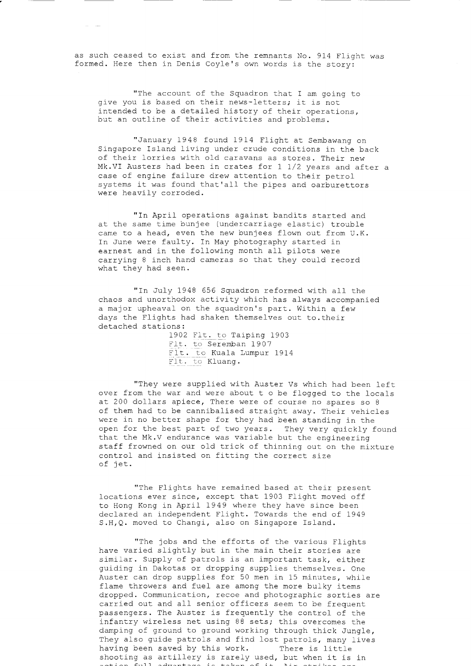as such ceased to exist and from the remnants No. 914 F1ight was formed. Here then in Denis Coyle's own words is the story:

"The account of the Squadron that I am going to give you is based on their news-letters; it is not intended to be a detailed history of their operations. but an outline of their activities and problems.

"January 1948 found 1914 Flight at Sembawang on Singapore Island living under crude conditions in the back of their lorries with old caravans as stores. Their new Mk.VI Austers had been in crates for 1 1/2 years and after a case of engine failure drew attention to their petrol systems it was found that'all the pipes and oarburettors were heavily corroded.

"In April operations against bandits started and at the same time bunjee (undercarriage elastic) trouble came to a head, even the new bunjees flown out from U.K. In June were faulty. In May photography started in earnest and in the following month all pilots were carrying 8 inch hand cameras so that they could record what they had seen.

"In July 1948 656 Squadron reformed with all the chaos and unorrhodox activity which has always accompanied a major upheaval on the squadron's part. Within a few days the Flights had shaken themselves out to.their detached stations:

1902 Flt. to Taiping 1903 Flt. to Seremban 1907 Flt. to Kuala Lumpur 1914 Flt. to Kluang.

"They were supplied with Auster Vs which had been left over from the war and were about t o be flogged to the locals at 200 dollars apiece, There were of course no spares so 8 of them had to be cannibalised straight away. Their vehicles were in no better shape for they had been standing in the open for the best part of two years. They very quickly found that the Mk.V endurance was variable but the engineering staff frowned on our old trick of thinning out on the mixture control and insisted on fitting the correct size of jet.

"The Flights have remained based at their present locations ever since, except that 1903 Flight moved off to Hong Kong in April 1949 where they have since been declared an independent Flight. Towards the end of 1949 S.H, Q. moved to Changi, also on Singapore Island.

"The jobs and the efforts of the various Flights have varied slightly but in the main their stories are similar. Supply of patrols is an important task, either guiding in Dakotas or dropping supplies themselves. One Auster can drop supplies for 50 men in 15 minutes, while flame throwers and fuel are among the more bulky items dropped. Communication, recoe and photographic sorties are carried out and all senior officers seem to be frequent passengers. The Auster is frequently the control of the infantry wireless net using 88 sets; this overcomes the damping of ground to ground working through thick Jungle, They also guide patrols and find lost patrols, many lives<br>having been saved by this work. There is little having been saved by this work. shooting as artillery is rarely used, but when it is in  $a+ion$  full advantage is taken of it.  $\lambda_{i}$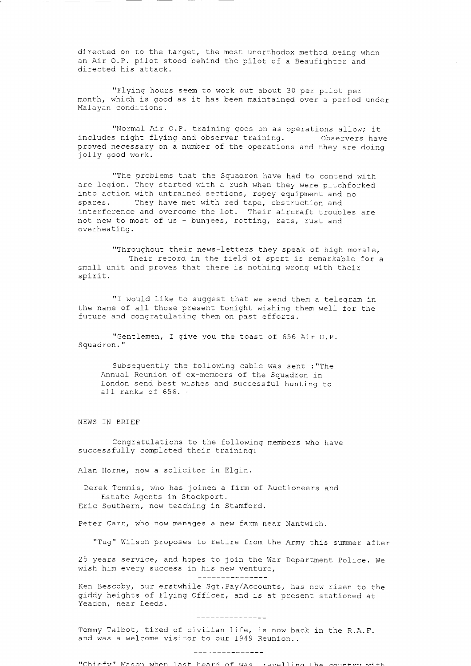directed on to the target, the most unorthodox method being when an Air O.P. pilot stood behind the pilot of a Beaufighter and directed his attack.

"Flying hours seem to work out about 30 per pilot per month, which is good as it has been maintained over a period under Malayan conditions.

"Normal Air O.P. training goes on as operations allow; it includes night flying and observer training. Observers have proved necessary on a number of the operations and they are doing jolly good work.

"The problems that the Squadron have had to contend with are legion. They started with a rush when they were pitchforked into action with untrained sections, ropey equipment and no spares. They have met with red tape, obstruction and interference and overcome the lot. Their aircraft troubles are not new to most of us - bunjees, rotting, rats, rust and overheating.

"Throughout their news-letters they speak of high morale, Their record in the field of sport is remarkable for a small unit and proves that there is nothing wrong with their spirit.

"I would like to suggest that we send them a telegram in the name of all those present tonight wishing them well for the future and congratulating them on past efforts.

"Gentlemen, I give you the toast of 656 Air O.P. Squadron."

Subsequently the following cable was sent : "The Annual Reunion of ex-members of the Squadron in London send best wishes and successful hunting to all ranks of 656. .

NEWS IN BRIEF

Congratulations to the following members who have successfully completed their training:

Alan Horne, now a solicitor in Elgin.

Derek Tommis, who has joined a firm of Auctioneers and Estate Agents in Stockport. Eric Southern, now teaching in Stamford.

Peter Carr, who now manages a new farm near Nantwich.

"Tug" Wilson proposes to retire from the Army this summer after

25 years service, and hopes to join the War Department Police. We wish him every success in his new venture,

\_\_\_\_\_\_\_\_\_\_\_\_\_\_\_

Ken Bescoby, our erstwhile Sgt. Pay/Accounts, has now risen to the giddy heights of Flying Officer, and is at present stationed at Yeadon, near Leeds.

\_\_\_\_\_\_\_\_\_\_\_\_\_\_

Tommy Talbot, tired of civilian life, is now back in the R.A.F. and was a welcome visitor to our 1949 Reunion..

\_\_\_\_\_\_\_\_\_\_*\_\_\_\_*\_\_

"Chiefy" Mason when last heard of was travelling the country with